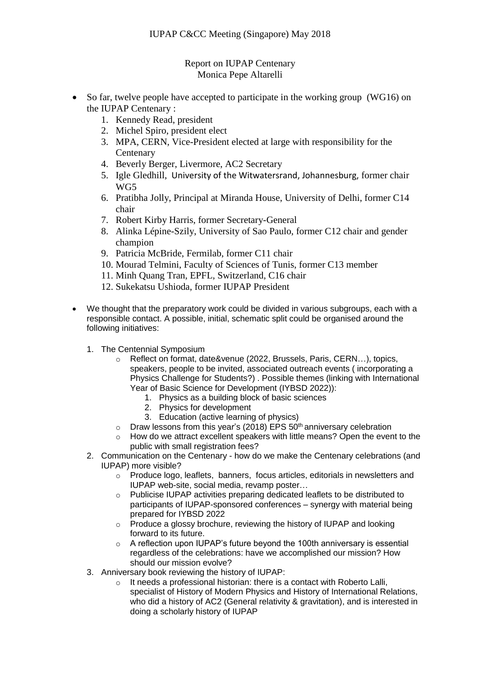## Report on IUPAP Centenary Monica Pepe Altarelli

- So far, twelve people have accepted to participate in the working group (WG16) on the IUPAP Centenary :
	- 1. Kennedy Read, president
	- 2. Michel Spiro, president elect
	- 3. MPA, CERN, Vice-President elected at large with responsibility for the **Centenary**
	- 4. Beverly Berger, Livermore, AC2 Secretary
	- 5. Igle Gledhill, University of the Witwatersrand, Johannesburg, former chair WG5
	- 6. Pratibha Jolly, Principal at Miranda House, University of Delhi, former C14 chair
	- 7. Robert Kirby Harris, former Secretary-General
	- 8. Alinka Lépine-Szily, University of Sao Paulo, former C12 chair and gender champion
	- 9. Patricia McBride, Fermilab, former C11 chair
	- 10. Mourad Telmini, Faculty of Sciences of Tunis, former C13 member
	- 11. Minh Quang Tran, EPFL, Switzerland, C16 chair
	- 12. Sukekatsu Ushioda, former IUPAP President
- We thought that the preparatory work could be divided in various subgroups, each with a responsible contact. A possible, initial, schematic split could be organised around the following initiatives:
	- 1. The Centennial Symposium
		- o Reflect on format, date&venue (2022, Brussels, Paris, CERN…), topics, speakers, people to be invited, associated outreach events ( incorporating a Physics Challenge for Students?) . Possible themes (linking with International Year of Basic Science for Development (IYBSD 2022)):
			- 1. Physics as a building block of basic sciences
			- 2. Physics for development
			- 3. Education (active learning of physics)
		- $\circ$  Draw lessons from this year's (2018) EPS 50<sup>th</sup> anniversary celebration
		- $\circ$  How do we attract excellent speakers with little means? Open the event to the public with small registration fees?
	- 2. Communication on the Centenary how do we make the Centenary celebrations (and IUPAP) more visible?
		- o Produce logo, leaflets, banners, focus articles, editorials in newsletters and IUPAP web-site, social media, revamp poster…
		- o Publicise IUPAP activities preparing dedicated leaflets to be distributed to participants of IUPAP-sponsored conferences – synergy with material being prepared for IYBSD 2022
		- o Produce a glossy brochure, reviewing the history of IUPAP and looking forward to its future.
		- o A reflection upon IUPAP's future beyond the 100th anniversary is essential regardless of the celebrations: have we accomplished our mission? How should our mission evolve?
	- 3. Anniversary book reviewing the history of IUPAP:
		- $\circ$  It needs a professional historian: there is a contact with Roberto Lalli, specialist of History of Modern Physics and History of International Relations, who did a history of AC2 (General relativity & gravitation), and is interested in doing a scholarly history of IUPAP